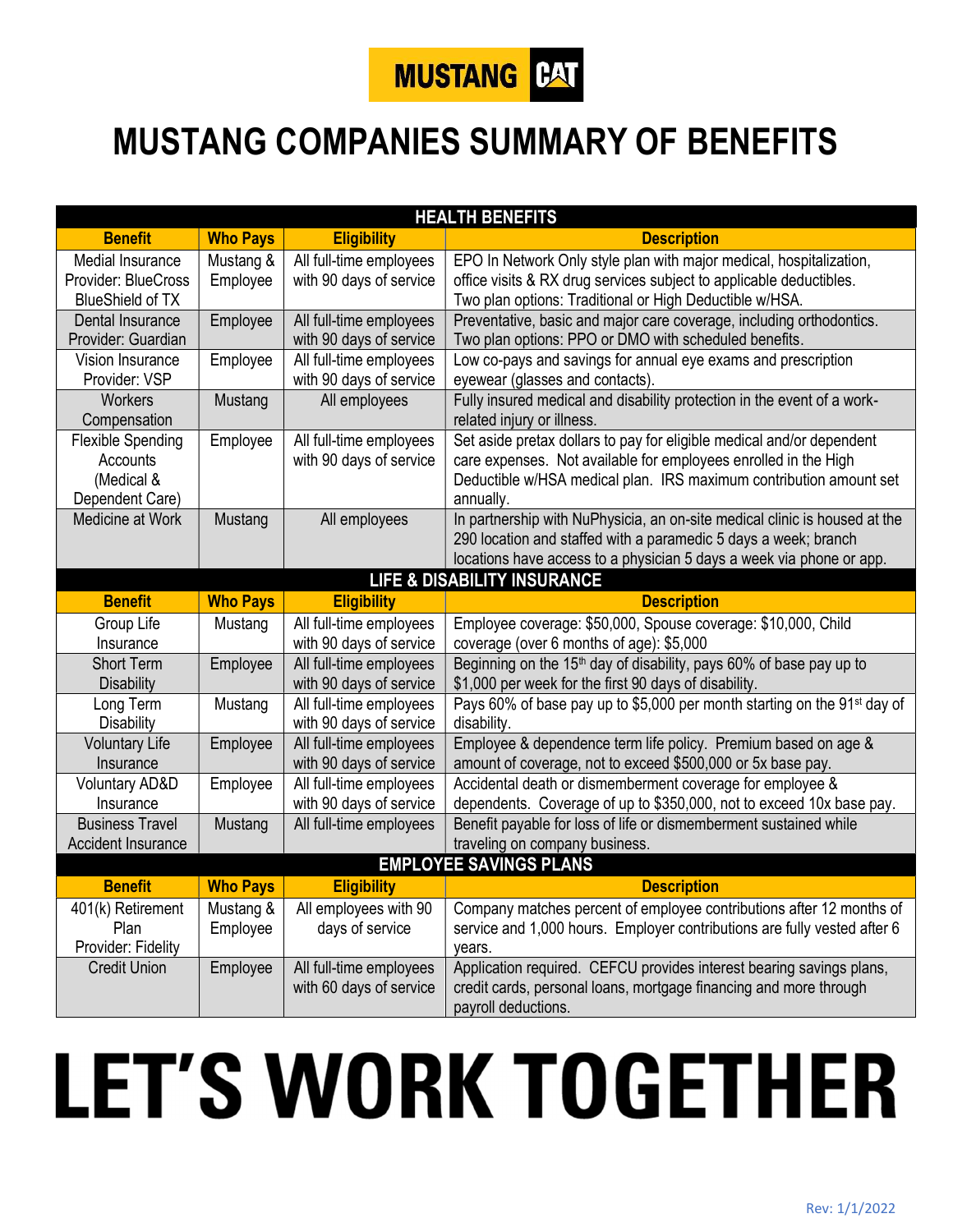

## MUSTANG COMPANIES SUMMARY OF BENEFITS

| <b>HEALTH BENEFITS</b>                 |                 |                         |                                                                                      |  |
|----------------------------------------|-----------------|-------------------------|--------------------------------------------------------------------------------------|--|
| <b>Benefit</b>                         | <b>Who Pays</b> | <b>Eligibility</b>      | <b>Description</b>                                                                   |  |
| Medial Insurance                       | Mustang &       | All full-time employees | EPO In Network Only style plan with major medical, hospitalization,                  |  |
| Provider: BlueCross                    | Employee        | with 90 days of service | office visits & RX drug services subject to applicable deductibles.                  |  |
| <b>BlueShield of TX</b>                |                 |                         | Two plan options: Traditional or High Deductible w/HSA.                              |  |
| Dental Insurance                       | Employee        | All full-time employees | Preventative, basic and major care coverage, including orthodontics.                 |  |
| Provider: Guardian                     |                 | with 90 days of service | Two plan options: PPO or DMO with scheduled benefits.                                |  |
| Vision Insurance                       | Employee        | All full-time employees | Low co-pays and savings for annual eye exams and prescription                        |  |
| Provider: VSP                          |                 | with 90 days of service | eyewear (glasses and contacts).                                                      |  |
| Workers                                | Mustang         | All employees           | Fully insured medical and disability protection in the event of a work-              |  |
| Compensation                           |                 |                         | related injury or illness.                                                           |  |
| <b>Flexible Spending</b>               | Employee        | All full-time employees | Set aside pretax dollars to pay for eligible medical and/or dependent                |  |
| Accounts                               |                 | with 90 days of service | care expenses. Not available for employees enrolled in the High                      |  |
| (Medical &                             |                 |                         | Deductible w/HSA medical plan. IRS maximum contribution amount set                   |  |
| Dependent Care)                        |                 |                         | annually.                                                                            |  |
| Medicine at Work                       | Mustang         | All employees           | In partnership with NuPhysicia, an on-site medical clinic is housed at the           |  |
|                                        |                 |                         | 290 location and staffed with a paramedic 5 days a week; branch                      |  |
|                                        |                 |                         | locations have access to a physician 5 days a week via phone or app.                 |  |
| <b>LIFE &amp; DISABILITY INSURANCE</b> |                 |                         |                                                                                      |  |
| <b>Benefit</b>                         | <b>Who Pays</b> | <b>Eligibility</b>      | <b>Description</b>                                                                   |  |
| Group Life                             | Mustang         | All full-time employees | Employee coverage: \$50,000, Spouse coverage: \$10,000, Child                        |  |
| Insurance                              |                 | with 90 days of service | coverage (over 6 months of age): \$5,000                                             |  |
| <b>Short Term</b>                      | Employee        | All full-time employees | Beginning on the 15 <sup>th</sup> day of disability, pays 60% of base pay up to      |  |
| <b>Disability</b>                      |                 | with 90 days of service | \$1,000 per week for the first 90 days of disability.                                |  |
| Long Term                              | Mustang         | All full-time employees | Pays 60% of base pay up to \$5,000 per month starting on the 91 <sup>st</sup> day of |  |
| <b>Disability</b>                      |                 | with 90 days of service | disability.                                                                          |  |
| <b>Voluntary Life</b>                  | Employee        | All full-time employees | Employee & dependence term life policy. Premium based on age &                       |  |
| Insurance                              |                 | with 90 days of service | amount of coverage, not to exceed \$500,000 or 5x base pay.                          |  |
| <b>Voluntary AD&amp;D</b>              | Employee        | All full-time employees | Accidental death or dismemberment coverage for employee &                            |  |
| Insurance                              |                 | with 90 days of service | dependents. Coverage of up to \$350,000, not to exceed 10x base pay.                 |  |
| <b>Business Travel</b>                 | Mustang         | All full-time employees | Benefit payable for loss of life or dismemberment sustained while                    |  |
| <b>Accident Insurance</b>              |                 |                         | traveling on company business.                                                       |  |
| <b>EMPLOYEE SAVINGS PLANS</b>          |                 |                         |                                                                                      |  |
| <b>Benefit</b>                         | <b>Who Pays</b> | <b>Eligibility</b>      | <b>Description</b>                                                                   |  |
| 401(k) Retirement                      | Mustang &       | All employees with 90   | Company matches percent of employee contributions after 12 months of                 |  |
| Plan                                   | Employee        | days of service         | service and 1,000 hours. Employer contributions are fully vested after 6             |  |
| Provider: Fidelity                     |                 |                         | years.                                                                               |  |
| <b>Credit Union</b>                    | Employee        | All full-time employees | Application required. CEFCU provides interest bearing savings plans,                 |  |
|                                        |                 | with 60 days of service | credit cards, personal loans, mortgage financing and more through                    |  |
|                                        |                 |                         | payroll deductions.                                                                  |  |

## **LET'S WORK TOGETHER**